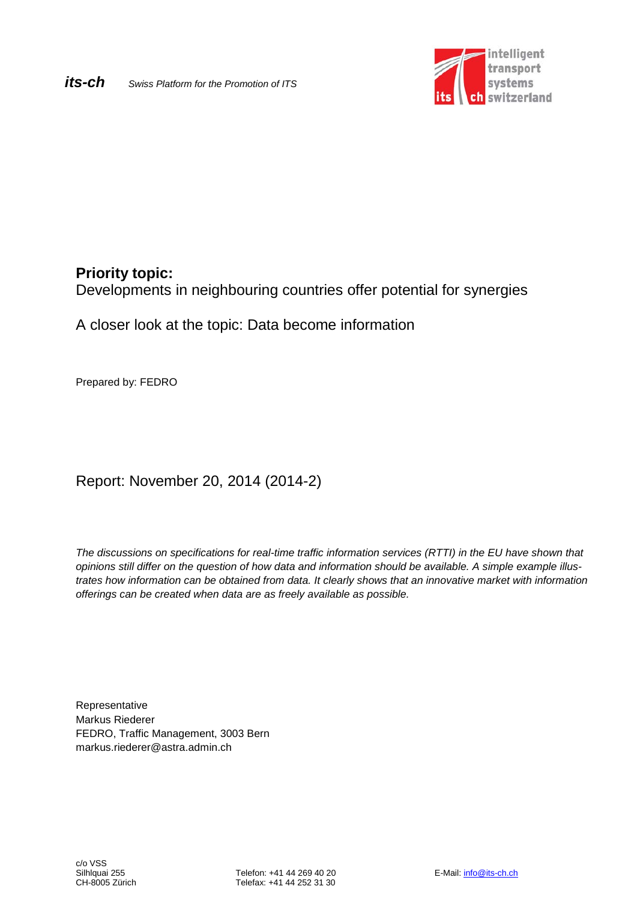

# **Priority topic:**

Developments in neighbouring countries offer potential for synergies

A closer look at the topic: Data become information

Prepared by: FEDRO

Report: November 20, 2014 (2014-2)

*The discussions on specifications for real-time traffic information services (RTTI) in the EU have shown that opinions still differ on the question of how data and information should be available. A simple example illustrates how information can be obtained from data. It clearly shows that an innovative market with information offerings can be created when data are as freely available as possible.*

Representative Markus Riederer FEDRO, Traffic Management, 3003 Bern markus.riederer@astra.admin.ch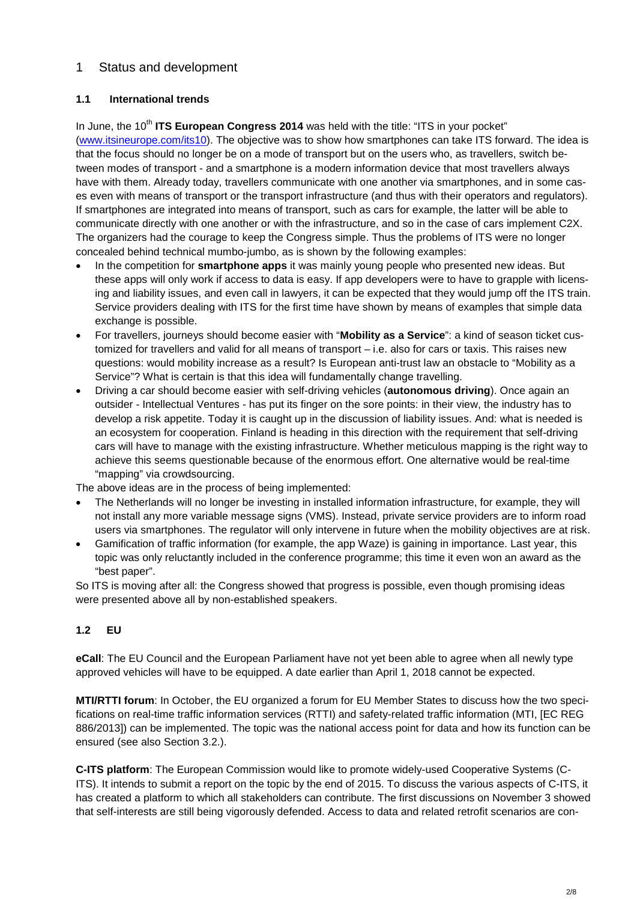# 1 Status and development

## **1.1 International trends**

In June, the 10<sup>th</sup> ITS European Congress 2014 was held with the title: "ITS in your pocket" [\(www.itsineurope.com/its10\)](http://www.itsineurope.com/its10). The objective was to show how smartphones can take ITS forward. The idea is that the focus should no longer be on a mode of transport but on the users who, as travellers, switch between modes of transport - and a smartphone is a modern information device that most travellers always have with them. Already today, travellers communicate with one another via smartphones, and in some cases even with means of transport or the transport infrastructure (and thus with their operators and regulators). If smartphones are integrated into means of transport, such as cars for example, the latter will be able to communicate directly with one another or with the infrastructure, and so in the case of cars implement C2X. The organizers had the courage to keep the Congress simple. Thus the problems of ITS were no longer concealed behind technical mumbo-jumbo, as is shown by the following examples:

- In the competition for **smartphone apps** it was mainly young people who presented new ideas. But these apps will only work if access to data is easy. If app developers were to have to grapple with licensing and liability issues, and even call in lawyers, it can be expected that they would jump off the ITS train. Service providers dealing with ITS for the first time have shown by means of examples that simple data exchange is possible.
- For travellers, journeys should become easier with "**Mobility as a Service**": a kind of season ticket customized for travellers and valid for all means of transport – i.e. also for cars or taxis. This raises new questions: would mobility increase as a result? Is European anti-trust law an obstacle to "Mobility as a Service"? What is certain is that this idea will fundamentally change travelling.
- Driving a car should become easier with self-driving vehicles (**autonomous driving**). Once again an outsider - Intellectual Ventures - has put its finger on the sore points: in their view, the industry has to develop a risk appetite. Today it is caught up in the discussion of liability issues. And: what is needed is an ecosystem for cooperation. Finland is heading in this direction with the requirement that self-driving cars will have to manage with the existing infrastructure. Whether meticulous mapping is the right way to achieve this seems questionable because of the enormous effort. One alternative would be real-time "mapping" via crowdsourcing.

The above ideas are in the process of being implemented:

- The Netherlands will no longer be investing in installed information infrastructure, for example, they will not install any more variable message signs (VMS). Instead, private service providers are to inform road users via smartphones. The regulator will only intervene in future when the mobility objectives are at risk.
- Gamification of traffic information (for example, the app Waze) is gaining in importance. Last year, this topic was only reluctantly included in the conference programme; this time it even won an award as the "best paper".

So ITS is moving after all: the Congress showed that progress is possible, even though promising ideas were presented above all by non-established speakers.

## **1.2 EU**

**eCall**: The EU Council and the European Parliament have not yet been able to agree when all newly type approved vehicles will have to be equipped. A date earlier than April 1, 2018 cannot be expected.

**MTI/RTTI forum**: In October, the EU organized a forum for EU Member States to discuss how the two specifications on real-time traffic information services (RTTI) and safety-related traffic information (MTI, [EC REG 886/2013]) can be implemented. The topic was the national access point for data and how its function can be ensured (see also Section 3.2.).

**C-ITS platform**: The European Commission would like to promote widely-used Cooperative Systems (C-ITS). It intends to submit a report on the topic by the end of 2015. To discuss the various aspects of C-ITS, it has created a platform to which all stakeholders can contribute. The first discussions on November 3 showed that self-interests are still being vigorously defended. Access to data and related retrofit scenarios are con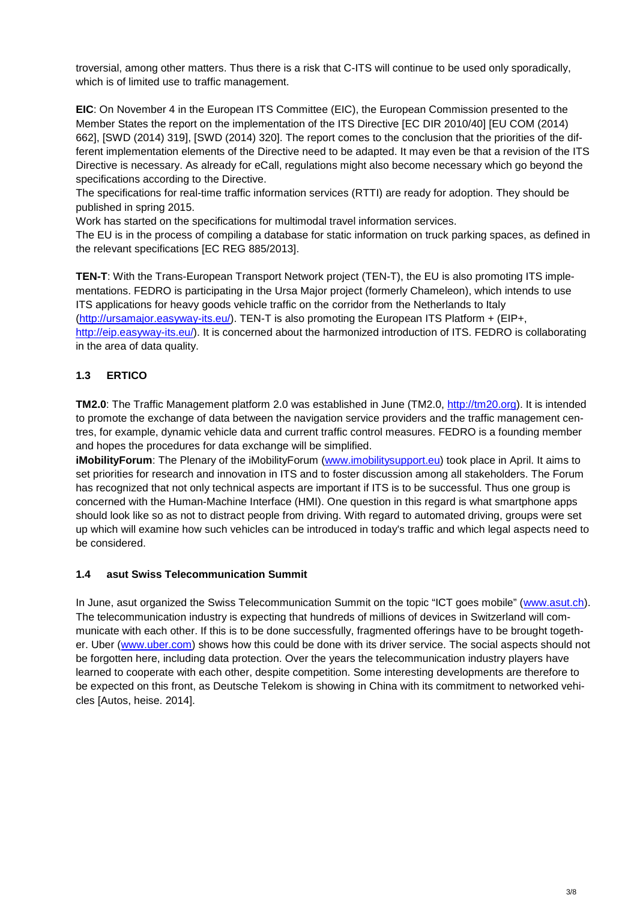troversial, among other matters. Thus there is a risk that C-ITS will continue to be used only sporadically, which is of limited use to traffic management.

**EIC**: On November 4 in the European ITS Committee (EIC), the European Commission presented to the Member States the report on the implementation of the ITS Directive [EC DIR 2010/40] [EU COM (2014) 662], [SWD (2014) 319], [SWD (2014) 320]. The report comes to the conclusion that the priorities of the different implementation elements of the Directive need to be adapted. It may even be that a revision of the ITS Directive is necessary. As already for eCall, regulations might also become necessary which go beyond the specifications according to the Directive.

The specifications for real-time traffic information services (RTTI) are ready for adoption. They should be published in spring 2015.

Work has started on the specifications for multimodal travel information services.

The EU is in the process of compiling a database for static information on truck parking spaces, as defined in the relevant specifications [EC REG 885/2013].

**TEN-T**: With the Trans-European Transport Network project (TEN-T), the EU is also promoting ITS implementations. FEDRO is participating in the Ursa Major project (formerly Chameleon), which intends to use ITS applications for heavy goods vehicle traffic on the corridor from the Netherlands to Italy [\(http://ursamajor.easyway-its.eu/\)](http://ursamajor.easyway-its.eu/). TEN-T is also promoting the European ITS Platform + (EIP+, [http://eip.easyway-its.eu/\)](http://eip.easyway-its.eu/). It is concerned about the harmonized introduction of ITS. FEDRO is collaborating in the area of data quality.

## **1.3 ERTICO**

**TM2.0**: The Traffic Management platform 2.0 was established in June (TM2.0, [http://tm20.org\)](http://tm20.org/). It is intended to promote the exchange of data between the navigation service providers and the traffic management centres, for example, dynamic vehicle data and current traffic control measures. FEDRO is a founding member and hopes the procedures for data exchange will be simplified.

**iMobilityForum**: The Plenary of the iMobilityForum [\(www.imobilitysupport.eu\)](http://www.imobilitysupport.eu/) took place in April. It aims to set priorities for research and innovation in ITS and to foster discussion among all stakeholders. The Forum has recognized that not only technical aspects are important if ITS is to be successful. Thus one group is concerned with the Human-Machine Interface (HMI). One question in this regard is what smartphone apps should look like so as not to distract people from driving. With regard to automated driving, groups were set up which will examine how such vehicles can be introduced in today's traffic and which legal aspects need to be considered.

## **1.4 asut Swiss Telecommunication Summit**

In June, asut organized the Swiss Telecommunication Summit on the topic "ICT goes mobile" [\(www.asut.ch\)](http://www.asut.ch/). The telecommunication industry is expecting that hundreds of millions of devices in Switzerland will communicate with each other. If this is to be done successfully, fragmented offerings have to be brought together. Uber [\(www.uber.com\)](http://www.uber.com/) shows how this could be done with its driver service. The social aspects should not be forgotten here, including data protection. Over the years the telecommunication industry players have learned to cooperate with each other, despite competition. Some interesting developments are therefore to be expected on this front, as Deutsche Telekom is showing in China with its commitment to networked vehicles [Autos, heise. 2014].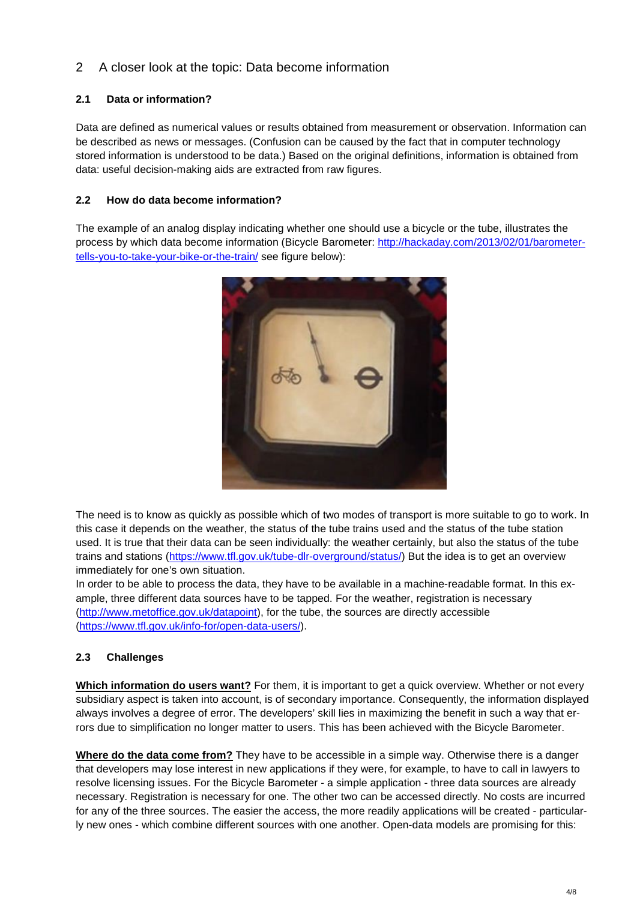# 2 A closer look at the topic: Data become information

### **2.1 Data or information?**

Data are defined as numerical values or results obtained from measurement or observation. Information can be described as news or messages. (Confusion can be caused by the fact that in computer technology stored information is understood to be data.) Based on the original definitions, information is obtained from data: useful decision-making aids are extracted from raw figures.

#### **2.2 How do data become information?**

The example of an analog display indicating whether one should use a bicycle or the tube, illustrates the process by which data become information (Bicycle Barometer: [http://hackaday.com/2013/02/01/barometer](http://hackaday.com/2013/02/01/barometer-tells-you-to-take-your-bike-or-the-train/)[tells-you-to-take-your-bike-or-the-train/](http://hackaday.com/2013/02/01/barometer-tells-you-to-take-your-bike-or-the-train/) see figure below):



The need is to know as quickly as possible which of two modes of transport is more suitable to go to work. In this case it depends on the weather, the status of the tube trains used and the status of the tube station used. It is true that their data can be seen individually: the weather certainly, but also the status of the tube trains and stations [\(https://www.tfl.gov.uk/tube-dlr-overground/status/\)](https://www.tfl.gov.uk/tube-dlr-overground/status/) But the idea is to get an overview immediately for one's own situation.

In order to be able to process the data, they have to be available in a machine-readable format. In this example, three different data sources have to be tapped. For the weather, registration is necessary [\(http://www.metoffice.gov.uk/datapoint\)](http://www.metoffice.gov.uk/datapoint), for the tube, the sources are directly accessible [\(https://www.tfl.gov.uk/info-for/open-data-users/\)](https://www.tfl.gov.uk/info-for/open-data-users/).

## **2.3 Challenges**

**Which information do users want?** For them, it is important to get a quick overview. Whether or not every subsidiary aspect is taken into account, is of secondary importance. Consequently, the information displayed always involves a degree of error. The developers' skill lies in maximizing the benefit in such a way that errors due to simplification no longer matter to users. This has been achieved with the Bicycle Barometer.

**Where do the data come from?** They have to be accessible in a simple way. Otherwise there is a danger that developers may lose interest in new applications if they were, for example, to have to call in lawyers to resolve licensing issues. For the Bicycle Barometer - a simple application - three data sources are already necessary. Registration is necessary for one. The other two can be accessed directly. No costs are incurred for any of the three sources. The easier the access, the more readily applications will be created - particularly new ones - which combine different sources with one another. Open-data models are promising for this: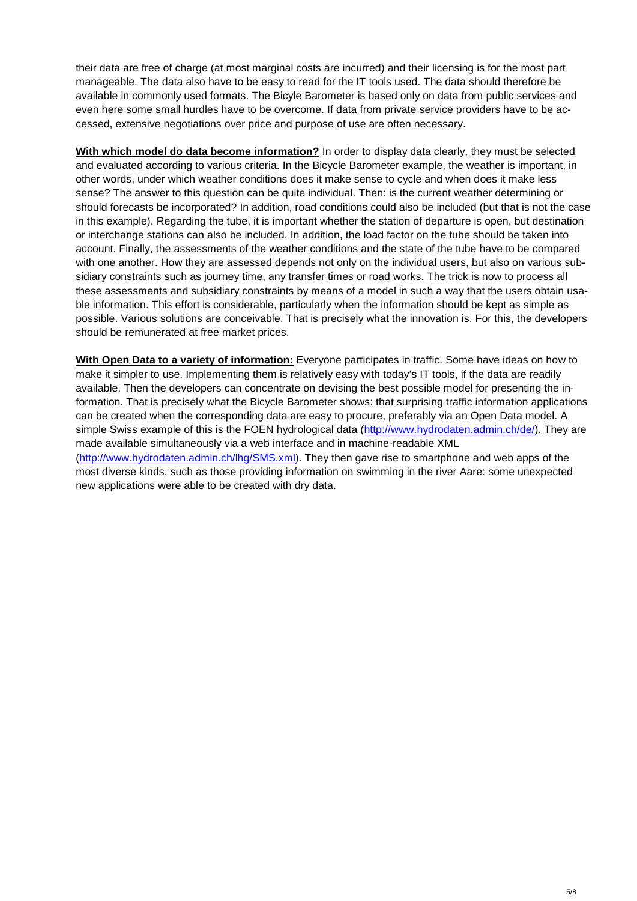their data are free of charge (at most marginal costs are incurred) and their licensing is for the most part manageable. The data also have to be easy to read for the IT tools used. The data should therefore be available in commonly used formats. The Bicyle Barometer is based only on data from public services and even here some small hurdles have to be overcome. If data from private service providers have to be accessed, extensive negotiations over price and purpose of use are often necessary.

**With which model do data become information?** In order to display data clearly, they must be selected and evaluated according to various criteria. In the Bicycle Barometer example, the weather is important, in other words, under which weather conditions does it make sense to cycle and when does it make less sense? The answer to this question can be quite individual. Then: is the current weather determining or should forecasts be incorporated? In addition, road conditions could also be included (but that is not the case in this example). Regarding the tube, it is important whether the station of departure is open, but destination or interchange stations can also be included. In addition, the load factor on the tube should be taken into account. Finally, the assessments of the weather conditions and the state of the tube have to be compared with one another. How they are assessed depends not only on the individual users, but also on various subsidiary constraints such as journey time, any transfer times or road works. The trick is now to process all these assessments and subsidiary constraints by means of a model in such a way that the users obtain usable information. This effort is considerable, particularly when the information should be kept as simple as possible. Various solutions are conceivable. That is precisely what the innovation is. For this, the developers should be remunerated at free market prices.

**With Open Data to a variety of information:** Everyone participates in traffic. Some have ideas on how to make it simpler to use. Implementing them is relatively easy with today's IT tools, if the data are readily available. Then the developers can concentrate on devising the best possible model for presenting the information. That is precisely what the Bicycle Barometer shows: that surprising traffic information applications can be created when the corresponding data are easy to procure, preferably via an Open Data model. A simple Swiss example of this is the FOEN hydrological data [\(http://www.hydrodaten.admin.ch/de/\)](http://www.hydrodaten.admin.ch/de/). They are made available simultaneously via a web interface and in machine-readable XML [\(http://www.hydrodaten.admin.ch/lhg/SMS.xml\)](http://www.hydrodaten.admin.ch/lhg/SMS.xml). They then gave rise to smartphone and web apps of the most diverse kinds, such as those providing information on swimming in the river Aare: some unexpected new applications were able to be created with dry data.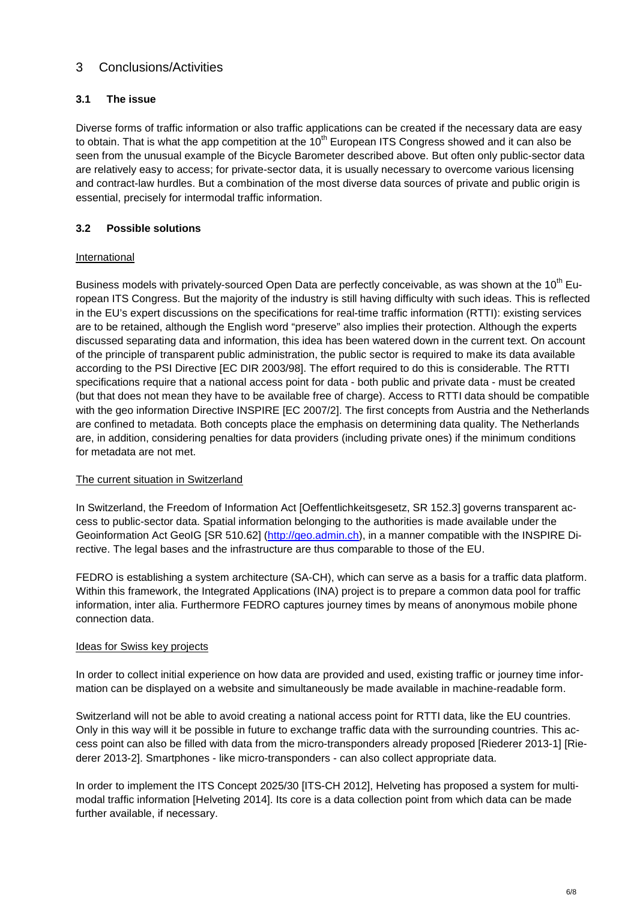## 3 Conclusions/Activities

#### **3.1 The issue**

Diverse forms of traffic information or also traffic applications can be created if the necessary data are easy to obtain. That is what the app competition at the  $10<sup>th</sup>$  European ITS Congress showed and it can also be seen from the unusual example of the Bicycle Barometer described above. But often only public-sector data are relatively easy to access; for private-sector data, it is usually necessary to overcome various licensing and contract-law hurdles. But a combination of the most diverse data sources of private and public origin is essential, precisely for intermodal traffic information.

#### **3.2 Possible solutions**

#### International

Business models with privately-sourced Open Data are perfectly conceivable, as was shown at the 10<sup>th</sup> European ITS Congress. But the majority of the industry is still having difficulty with such ideas. This is reflected in the EU's expert discussions on the specifications for real-time traffic information (RTTI): existing services are to be retained, although the English word "preserve" also implies their protection. Although the experts discussed separating data and information, this idea has been watered down in the current text. On account of the principle of transparent public administration, the public sector is required to make its data available according to the PSI Directive [EC DIR 2003/98]. The effort required to do this is considerable. The RTTI specifications require that a national access point for data - both public and private data - must be created (but that does not mean they have to be available free of charge). Access to RTTI data should be compatible with the geo information Directive INSPIRE [EC 2007/2]. The first concepts from Austria and the Netherlands are confined to metadata. Both concepts place the emphasis on determining data quality. The Netherlands are, in addition, considering penalties for data providers (including private ones) if the minimum conditions for metadata are not met.

#### The current situation in Switzerland

In Switzerland, the Freedom of Information Act [Oeffentlichkeitsgesetz, SR 152.3] governs transparent access to public-sector data. Spatial information belonging to the authorities is made available under the Geoinformation Act GeoIG [SR 510.62] [\(http://geo.admin.ch\)](http://geo.admin.ch/), in a manner compatible with the INSPIRE Directive. The legal bases and the infrastructure are thus comparable to those of the EU.

FEDRO is establishing a system architecture (SA-CH), which can serve as a basis for a traffic data platform. Within this framework, the Integrated Applications (INA) project is to prepare a common data pool for traffic information, inter alia. Furthermore FEDRO captures journey times by means of anonymous mobile phone connection data.

#### Ideas for Swiss key projects

In order to collect initial experience on how data are provided and used, existing traffic or journey time information can be displayed on a website and simultaneously be made available in machine-readable form.

Switzerland will not be able to avoid creating a national access point for RTTI data, like the EU countries. Only in this way will it be possible in future to exchange traffic data with the surrounding countries. This access point can also be filled with data from the micro-transponders already proposed [Riederer 2013-1] [Riederer 2013-2]. Smartphones - like micro-transponders - can also collect appropriate data.

In order to implement the ITS Concept 2025/30 [ITS-CH 2012], Helveting has proposed a system for multimodal traffic information [Helveting 2014]. Its core is a data collection point from which data can be made further available, if necessary.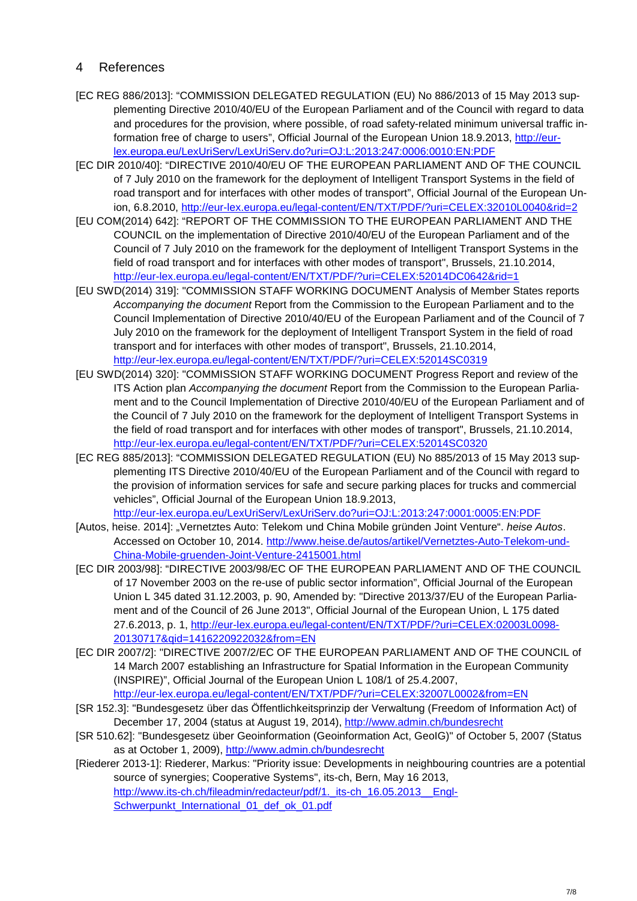## 4 References

- [EC REG 886/2013]: "COMMISSION DELEGATED REGULATION (EU) No 886/2013 of 15 May 2013 supplementing Directive 2010/40/EU of the European Parliament and of the Council with regard to data and procedures for the provision, where possible, of road safety-related minimum universal traffic information free of charge to users", Official Journal of the European Union 18.9.2013, [http://eur](http://eur-lex.europa.eu/LexUriServ/LexUriServ.do?uri=OJ:L:2013:247:0006:0010:EN:PDF)[lex.europa.eu/LexUriServ/LexUriServ.do?uri=OJ:L:2013:247:0006:0010:EN:PDF](http://eur-lex.europa.eu/LexUriServ/LexUriServ.do?uri=OJ:L:2013:247:0006:0010:EN:PDF)
- [EC DIR 2010/40]: "DIRECTIVE 2010/40/EU OF THE EUROPEAN PARLIAMENT AND OF THE COUNCIL of 7 July 2010 on the framework for the deployment of Intelligent Transport Systems in the field of road transport and for interfaces with other modes of transport", Official Journal of the European Union, 6.8.2010, <http://eur-lex.europa.eu/legal-content/EN/TXT/PDF/?uri=CELEX:32010L0040&rid=2>
- [EU COM(2014) 642]: "REPORT OF THE COMMISSION TO THE EUROPEAN PARLIAMENT AND THE COUNCIL on the implementation of Directive 2010/40/EU of the European Parliament and of the Council of 7 July 2010 on the framework for the deployment of Intelligent Transport Systems in the field of road transport and for interfaces with other modes of transport", Brussels, 21.10.2014, <http://eur-lex.europa.eu/legal-content/EN/TXT/PDF/?uri=CELEX:52014DC0642&rid=1>
- [EU SWD(2014) 319]: "COMMISSION STAFF WORKING DOCUMENT Analysis of Member States reports *Accompanying the document* Report from the Commission to the European Parliament and to the Council Implementation of Directive 2010/40/EU of the European Parliament and of the Council of 7 July 2010 on the framework for the deployment of Intelligent Transport System in the field of road transport and for interfaces with other modes of transport", Brussels, 21.10.2014, <http://eur-lex.europa.eu/legal-content/EN/TXT/PDF/?uri=CELEX:52014SC0319>
- [EU SWD(2014) 320]: "COMMISSION STAFF WORKING DOCUMENT Progress Report and review of the ITS Action plan *Accompanying the document* Report from the Commission to the European Parliament and to the Council Implementation of Directive 2010/40/EU of the European Parliament and of the Council of 7 July 2010 on the framework for the deployment of Intelligent Transport Systems in the field of road transport and for interfaces with other modes of transport", Brussels, 21.10.2014, <http://eur-lex.europa.eu/legal-content/EN/TXT/PDF/?uri=CELEX:52014SC0320>
- [EC REG 885/2013]: "COMMISSION DELEGATED REGULATION (EU) No 885/2013 of 15 May 2013 supplementing ITS Directive 2010/40/EU of the European Parliament and of the Council with regard to the provision of information services for safe and secure parking places for trucks and commercial vehicles", Official Journal of the European Union 18.9.2013, <http://eur-lex.europa.eu/LexUriServ/LexUriServ.do?uri=OJ:L:2013:247:0001:0005:EN:PDF>
- [Autos, heise. 2014]: "Vernetztes Auto: Telekom und China Mobile gründen Joint Venture". heise Autos. Accessed on October 10, 2014. [http://www.heise.de/autos/artikel/Vernetztes-Auto-Telekom-und-](http://www.heise.de/autos/artikel/Vernetztes-Auto-Telekom-und-China-Mobile-gruenden-Joint-Venture-2415001.html)[China-Mobile-gruenden-Joint-Venture-2415001.html](http://www.heise.de/autos/artikel/Vernetztes-Auto-Telekom-und-China-Mobile-gruenden-Joint-Venture-2415001.html)
- [EC DIR 2003/98]: "DIRECTIVE 2003/98/EC OF THE EUROPEAN PARLIAMENT AND OF THE COUNCIL of 17 November 2003 on the re-use of public sector information", Official Journal of the European Union L 345 dated 31.12.2003, p. 90, Amended by: "Directive 2013/37/EU of the European Parliament and of the Council of 26 June 2013", Official Journal of the European Union, L 175 dated 27.6.2013, p. 1, [http://eur-lex.europa.eu/legal-content/EN/TXT/PDF/?uri=CELEX:02003L0098-](http://eur-lex.europa.eu/legal-content/EN/TXT/PDF/?uri=CELEX:02003L0098-20130717&qid=1416220922032&from=EN) [20130717&qid=1416220922032&from=EN](http://eur-lex.europa.eu/legal-content/EN/TXT/PDF/?uri=CELEX:02003L0098-20130717&qid=1416220922032&from=EN)
- [EC DIR 2007/2]: "DIRECTIVE 2007/2/EC OF THE EUROPEAN PARLIAMENT AND OF THE COUNCIL of 14 March 2007 establishing an Infrastructure for Spatial Information in the European Community (INSPIRE)", Official Journal of the European Union L 108/1 of 25.4.2007,

<http://eur-lex.europa.eu/legal-content/EN/TXT/PDF/?uri=CELEX:32007L0002&from=EN>

- [SR 152.3]: "Bundesgesetz über das Öffentlichkeitsprinzip der Verwaltung (Freedom of Information Act) of December 17, 2004 (status at August 19, 2014),<http://www.admin.ch/bundesrecht>
- [SR 510.62]: "Bundesgesetz über Geoinformation (Geoinformation Act, GeoIG)" of October 5, 2007 (Status as at October 1, 2009),<http://www.admin.ch/bundesrecht>
- [Riederer 2013-1]: Riederer, Markus: "Priority issue: Developments in neighbouring countries are a potential source of synergies; Cooperative Systems", its-ch, Bern, May 16 2013, http://www.its-ch.ch/fileadmin/redacteur/pdf/1. its-ch\_16.05.2013\_Engl-[Schwerpunkt\\_International\\_01\\_def\\_ok\\_01.pdf](http://www.its-ch.ch/fileadmin/redacteur/pdf/1._its-ch_16.05.2013__Engl-Schwerpunkt_International_01_def_ok_01.pdf)